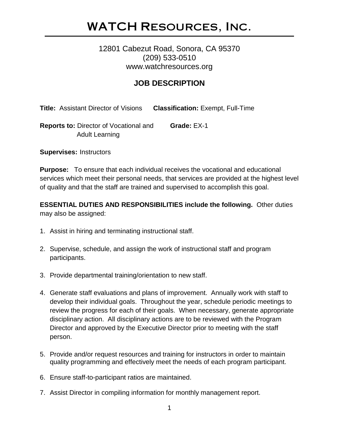## WATCH Resources, Inc.

### 12801 Cabezut Road, Sonora, CA 95370 (209) 533-0510 www.watchresources.org

## **JOB DESCRIPTION**

**Title:** Assistant Director of Visions **Classification:** Exempt, Full-Time

**Reports to:** Director of Vocational and **Grade:** EX-1 Adult Learning

**Supervises:** Instructors

**Purpose:** To ensure that each individual receives the vocational and educational services which meet their personal needs, that services are provided at the highest level of quality and that the staff are trained and supervised to accomplish this goal.

**ESSENTIAL DUTIES AND RESPONSIBILITIES include the following.** Other duties may also be assigned:

- 1. Assist in hiring and terminating instructional staff.
- 2. Supervise, schedule, and assign the work of instructional staff and program participants.
- 3. Provide departmental training/orientation to new staff.
- 4. Generate staff evaluations and plans of improvement. Annually work with staff to develop their individual goals. Throughout the year, schedule periodic meetings to review the progress for each of their goals. When necessary, generate appropriate disciplinary action. All disciplinary actions are to be reviewed with the Program Director and approved by the Executive Director prior to meeting with the staff person.
- 5. Provide and/or request resources and training for instructors in order to maintain quality programming and effectively meet the needs of each program participant.
- 6. Ensure staff-to-participant ratios are maintained.
- 7. Assist Director in compiling information for monthly management report.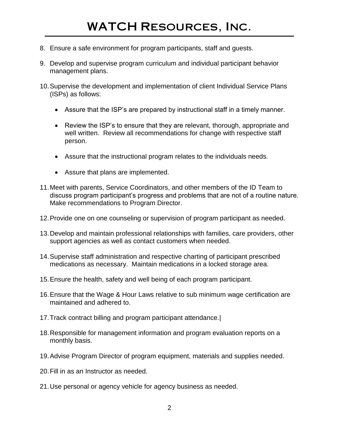- 8. Ensure a safe environment for program participants, staff and guests.
- 9. Develop and supervise program curriculum and individual participant behavior management plans.
- 10.Supervise the development and implementation of client Individual Service Plans (ISPs) as follows:
	- Assure that the ISP's are prepared by instructional staff in a timely manner.
	- Review the ISP's to ensure that they are relevant, thorough, appropriate and well written. Review all recommendations for change with respective staff person.
	- Assure that the instructional program relates to the individuals needs.
	- Assure that plans are implemented.
- 11.Meet with parents, Service Coordinators, and other members of the ID Team to discuss program participant's progress and problems that are not of a routine nature. Make recommendations to Program Director.
- 12.Provide one on one counseling or supervision of program participant as needed.
- 13.Develop and maintain professional relationships with families, care providers, other support agencies as well as contact customers when needed.
- 14.Supervise staff administration and respective charting of participant prescribed medications as necessary. Maintain medications in a locked storage area.
- 15.Ensure the health, safety and well being of each program participant.
- 16.Ensure that the Wage & Hour Laws relative to sub minimum wage certification are maintained and adhered to.
- 17.Track contract billing and program participant attendance.|
- 18.Responsible for management information and program evaluation reports on a monthly basis.
- 19.Advise Program Director of program equipment, materials and supplies needed.
- 20.Fill in as an Instructor as needed.
- 21.Use personal or agency vehicle for agency business as needed.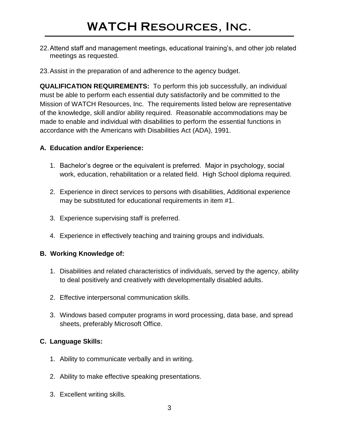- 22.Attend staff and management meetings, educational training's, and other job related meetings as requested.
- 23.Assist in the preparation of and adherence to the agency budget.

**QUALIFICATION REQUIREMENTS:** To perform this job successfully, an individual must be able to perform each essential duty satisfactorily and be committed to the Mission of WATCH Resources, Inc. The requirements listed below are representative of the knowledge, skill and/or ability required. Reasonable accommodations may be made to enable and individual with disabilities to perform the essential functions in accordance with the Americans with Disabilities Act (ADA), 1991.

#### **A. Education and/or Experience:**

- 1. Bachelor's degree or the equivalent is preferred. Major in psychology, social work, education, rehabilitation or a related field. High School diploma required.
- 2. Experience in direct services to persons with disabilities, Additional experience may be substituted for educational requirements in item #1.
- 3. Experience supervising staff is preferred.
- 4. Experience in effectively teaching and training groups and individuals.

#### **B. Working Knowledge of:**

- 1. Disabilities and related characteristics of individuals, served by the agency, ability to deal positively and creatively with developmentally disabled adults.
- 2. Effective interpersonal communication skills.
- 3. Windows based computer programs in word processing, data base, and spread sheets, preferably Microsoft Office.

#### **C. Language Skills:**

- 1. Ability to communicate verbally and in writing.
- 2. Ability to make effective speaking presentations.
- 3. Excellent writing skills.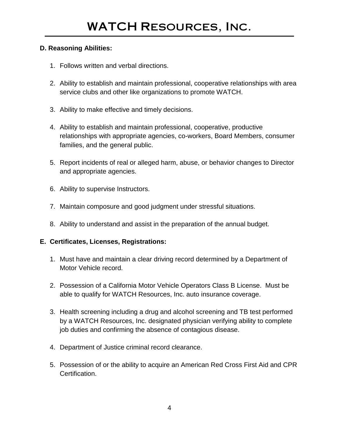#### **D. Reasoning Abilities:**

- 1. Follows written and verbal directions.
- 2. Ability to establish and maintain professional, cooperative relationships with area service clubs and other like organizations to promote WATCH.
- 3. Ability to make effective and timely decisions.
- 4. Ability to establish and maintain professional, cooperative, productive relationships with appropriate agencies, co-workers, Board Members, consumer families, and the general public.
- 5. Report incidents of real or alleged harm, abuse, or behavior changes to Director and appropriate agencies.
- 6. Ability to supervise Instructors.
- 7. Maintain composure and good judgment under stressful situations.
- 8. Ability to understand and assist in the preparation of the annual budget.

#### **E. Certificates, Licenses, Registrations:**

- 1. Must have and maintain a clear driving record determined by a Department of Motor Vehicle record.
- 2. Possession of a California Motor Vehicle Operators Class B License. Must be able to qualify for WATCH Resources, Inc. auto insurance coverage.
- 3. Health screening including a drug and alcohol screening and TB test performed by a WATCH Resources, Inc. designated physician verifying ability to complete job duties and confirming the absence of contagious disease.
- 4. Department of Justice criminal record clearance.
- 5. Possession of or the ability to acquire an American Red Cross First Aid and CPR **Certification**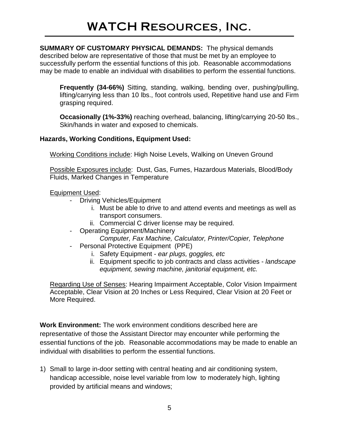**SUMMARY OF CUSTOMARY PHYSICAL DEMANDS:** The physical demands described below are representative of those that must be met by an employee to successfully perform the essential functions of this job. Reasonable accommodations may be made to enable an individual with disabilities to perform the essential functions.

**Frequently (34-66%)** Sitting, standing, walking, bending over, pushing/pulling, lifting/carrying less than 10 lbs., foot controls used, Repetitive hand use and Firm grasping required.

**Occasionally (1%-33%)** reaching overhead, balancing, lifting/carrying 20-50 lbs., Skin/hands in water and exposed to chemicals.

#### **Hazards, Working Conditions, Equipment Used:**

Working Conditions include: High Noise Levels, Walking on Uneven Ground

Possible Exposures include: Dust, Gas, Fumes, Hazardous Materials, Blood/Body Fluids, Marked Changes in Temperature

#### Equipment Used:

- Driving Vehicles/Equipment
	- i. Must be able to drive to and attend events and meetings as well as transport consumers.
	- ii. Commercial C driver license may be required.
- Operating Equipment/Machinery
	- *Computer, Fax Machine, Calculator, Printer/Copier, Telephone*
- Personal Protective Equipment (PPE)
	- i. Safety Equipment *ear plugs, goggles, etc*
	- ii. Equipment specific to job contracts and class activities *landscape equipment, sewing machine, janitorial equipment, etc.*

Regarding Use of Senses: Hearing Impairment Acceptable, Color Vision Impairment Acceptable, Clear Vision at 20 Inches or Less Required, Clear Vision at 20 Feet or More Required.

**Work Environment:** The work environment conditions described here are representative of those the Assistant Director may encounter while performing the essential functions of the job. Reasonable accommodations may be made to enable an individual with disabilities to perform the essential functions.

1) Small to large in-door setting with central heating and air conditioning system, handicap accessible, noise level variable from low to moderately high, lighting provided by artificial means and windows;